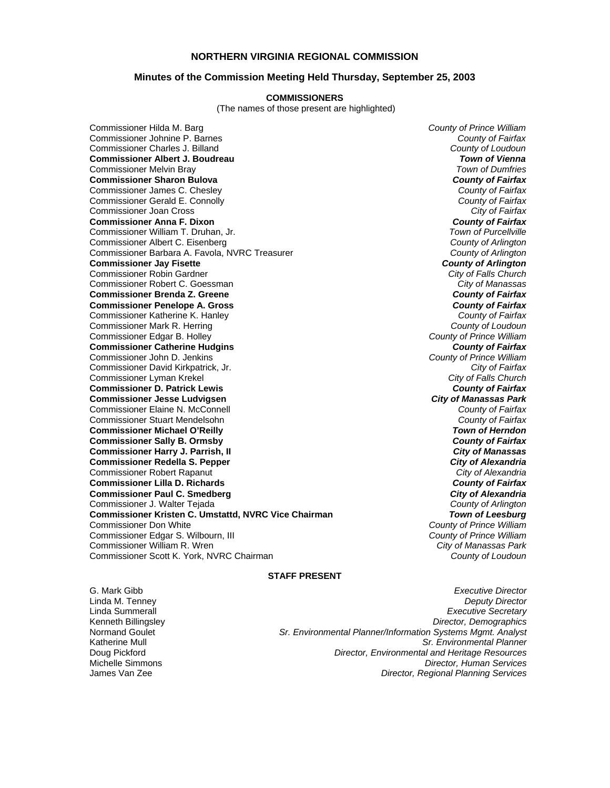# **NORTHERN VIRGINIA REGIONAL COMMISSION**

### **Minutes of the Commission Meeting Held Thursday, September 25, 2003**

#### **COMMISSIONERS**

(The names of those present are highlighted)

Commissioner Hilda M. Barg *County of Prince William* Commissioner Johnine P. Barnes *County of Fairfax* Commissioner Charles J. Billand *County of Loudoun* **Commissioner Albert J. Boudreau** *Town of Vienna* Commissioner Melvin Bray *Town of Dumfries* **Commissioner Sharon Bulova** *County of Fairfax* Commissioner James C. Chesley *County of Fairfax* Commissioner Gerald E. Connolly *County of Fairfax* Commissioner Joan Cross *City of Fairfax* **Commissioner Anna F. Dixon** *County of Fairfax* Commissioner William T. Druhan, Jr. *Town of Purcellville* Commissioner Albert C. Eisenberg *County of Arlington* Commissioner Barbara A. Favola, NVRC Treasurer *County of Arlington* **Commissioner Jay Fisette** *County of Arlington* Commissioner Robin Gardner *City of Falls Church* Commissioner Robert C. Goessman *City of Manassas* **Commissioner Brenda Z. Greene** *County of Fairfax* **Commissioner Penelope A. Gross** *County of Fairfax* Commissioner Katherine K. Hanley *County of Fairfax* Commissioner Mark R. Herring *County of Loudoun* Commissioner Edgar B. Holley *County of Prince William* **Commissioner Catherine Hudgins** *County of Fairfax* Commissioner John D. Jenkins *County of Prince William* Commissioner David Kirkpatrick, Jr. *City of Fairfax* Commissioner Lyman Krekel *City of Falls Church* **Commissioner D. Patrick Lewis** *County of Fairfax* **Commissioner Jesse Ludvigsen** *City of Manassas Park* Commissioner Elaine N. McConnell *County of Fairfax* Commissioner Stuart Mendelsohn *County of Fairfax* **Commissioner Michael O'Reilly** *Town of Herndon* **Commissioner Sally B. Ormsby** *County of Fairfax* **Commissioner Harry J. Parrish, II** *City of Manassas* **Commissioner Redella S. Pepper** *City of Alexandria* Commissioner Robert Rapanut *City of Alexandria* **Commissioner Lilla D. Richards** *County of Fairfax* **Commissioner Paul C. Smedberg** *City of Alexandria* Commissioner J. Walter Tejada *County of Arlington* **Commissioner Kristen C. Umstattd, NVRC Vice Chairman** *Town of Leesburg* Commissioner Don White *County of Prince William* Commissioner Edgar S. Wilbourn, III *County of Prince William* Commissioner William R. Wren *City of Manassas Park* Commissioner Scott K. York, NVRC Chairman *County of Loudoun*

### **STAFF PRESENT**

G. Mark Gibb *Executive Director*

Linda M. Tenney *Deputy Director* Linda Summerall *Executive Secretary* Kenneth Billingsley *Director, Demographics* Normand Goulet *Sr. Environmental Planner/Information Systems Mgmt. Analyst* Katherine Mull *Sr. Environmental Planner* Doug Pickford *Director, Environmental and Heritage Resources* Michelle Simmons *Director, Human Services* **Director, Regional Planning Services**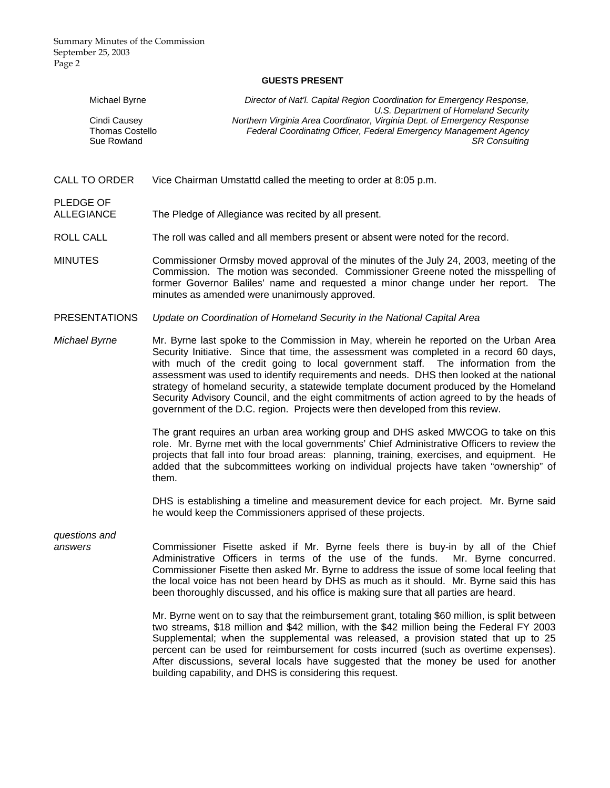# **GUESTS PRESENT**

| Michael Byrne                                         | Director of Nat'l. Capital Region Coordination for Emergency Response,<br>U.S. Department of Homeland Security                                                                                                                                                                                                                                                                                                                                                                                                                                                                                                                        |
|-------------------------------------------------------|---------------------------------------------------------------------------------------------------------------------------------------------------------------------------------------------------------------------------------------------------------------------------------------------------------------------------------------------------------------------------------------------------------------------------------------------------------------------------------------------------------------------------------------------------------------------------------------------------------------------------------------|
| Cindi Causey<br><b>Thomas Costello</b><br>Sue Rowland | Northern Virginia Area Coordinator, Virginia Dept. of Emergency Response<br>Federal Coordinating Officer, Federal Emergency Management Agency<br><b>SR Consulting</b>                                                                                                                                                                                                                                                                                                                                                                                                                                                                 |
|                                                       |                                                                                                                                                                                                                                                                                                                                                                                                                                                                                                                                                                                                                                       |
| <b>CALL TO ORDER</b>                                  | Vice Chairman Umstattd called the meeting to order at 8:05 p.m.                                                                                                                                                                                                                                                                                                                                                                                                                                                                                                                                                                       |
| PLEDGE OF<br><b>ALLEGIANCE</b>                        | The Pledge of Allegiance was recited by all present.                                                                                                                                                                                                                                                                                                                                                                                                                                                                                                                                                                                  |
| <b>ROLL CALL</b>                                      | The roll was called and all members present or absent were noted for the record.                                                                                                                                                                                                                                                                                                                                                                                                                                                                                                                                                      |
| <b>MINUTES</b>                                        | Commissioner Ormsby moved approval of the minutes of the July 24, 2003, meeting of the<br>Commission. The motion was seconded. Commissioner Greene noted the misspelling of<br>former Governor Baliles' name and requested a minor change under her report. The<br>minutes as amended were unanimously approved.                                                                                                                                                                                                                                                                                                                      |
| <b>PRESENTATIONS</b>                                  | Update on Coordination of Homeland Security in the National Capital Area                                                                                                                                                                                                                                                                                                                                                                                                                                                                                                                                                              |
| Michael Byrne                                         | Mr. Byrne last spoke to the Commission in May, wherein he reported on the Urban Area<br>Security Initiative. Since that time, the assessment was completed in a record 60 days,<br>with much of the credit going to local government staff. The information from the<br>assessment was used to identify requirements and needs. DHS then looked at the national<br>strategy of homeland security, a statewide template document produced by the Homeland<br>Security Advisory Council, and the eight commitments of action agreed to by the heads of<br>government of the D.C. region. Projects were then developed from this review. |
|                                                       | The grant requires an urban area working group and DHS asked MWCOG to take on this<br>role. Mr. Byrne met with the local governments' Chief Administrative Officers to review the<br>projects that fall into four broad areas: planning, training, exercises, and equipment. He<br>added that the subcommittees working on individual projects have taken "ownership" of<br>them.                                                                                                                                                                                                                                                     |
|                                                       | DHS is establishing a timeline and measurement device for each project. Mr. Byrne said<br>he would keep the Commissioners apprised of these projects.                                                                                                                                                                                                                                                                                                                                                                                                                                                                                 |
| questions and<br>answers                              | Commissioner Fisette asked if Mr. Byrne feels there is buy-in by all of the Chief<br>Administrative Officers in terms of the use of the funds.<br>Mr. Byrne concurred.<br>Commissioner Fisette then asked Mr. Byrne to address the issue of some local feeling that<br>the local voice has not been heard by DHS as much as it should. Mr. Byrne said this has<br>been thoroughly discussed, and his office is making sure that all parties are heard.                                                                                                                                                                                |
|                                                       | Mr. Byrne went on to say that the reimbursement grant, totaling \$60 million, is split between<br>two streams, \$18 million and \$42 million, with the \$42 million being the Federal FY 2003<br>Supplemental; when the supplemental was released, a provision stated that up to 25<br>percent can be used for reimbursement for costs incurred (such as overtime expenses).                                                                                                                                                                                                                                                          |

After discussions, several locals have suggested that the money be used for another

building capability, and DHS is considering this request.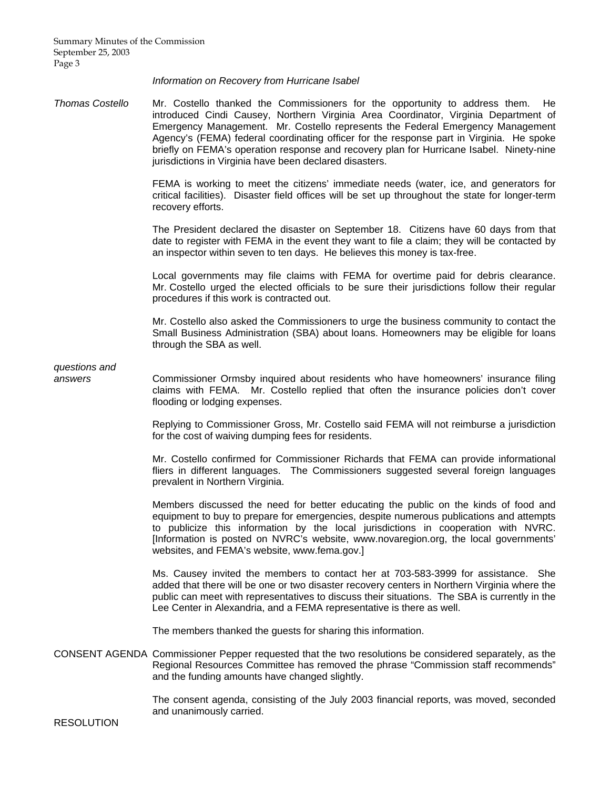*Information on Recovery from Hurricane Isabel* 

*Thomas Costello* Mr. Costello thanked the Commissioners for the opportunity to address them. He introduced Cindi Causey, Northern Virginia Area Coordinator, Virginia Department of Emergency Management. Mr. Costello represents the Federal Emergency Management Agency's (FEMA) federal coordinating officer for the response part in Virginia. He spoke briefly on FEMA's operation response and recovery plan for Hurricane Isabel. Ninety-nine jurisdictions in Virginia have been declared disasters.

> FEMA is working to meet the citizens' immediate needs (water, ice, and generators for critical facilities). Disaster field offices will be set up throughout the state for longer-term recovery efforts.

> The President declared the disaster on September 18. Citizens have 60 days from that date to register with FEMA in the event they want to file a claim; they will be contacted by an inspector within seven to ten days. He believes this money is tax-free.

> Local governments may file claims with FEMA for overtime paid for debris clearance. Mr. Costello urged the elected officials to be sure their jurisdictions follow their regular procedures if this work is contracted out.

> Mr. Costello also asked the Commissioners to urge the business community to contact the Small Business Administration (SBA) about loans. Homeowners may be eligible for loans through the SBA as well.

*questions and* 

*answers* Commissioner Ormsby inquired about residents who have homeowners' insurance filing claims with FEMA. Mr. Costello replied that often the insurance policies don't cover flooding or lodging expenses.

> Replying to Commissioner Gross, Mr. Costello said FEMA will not reimburse a jurisdiction for the cost of waiving dumping fees for residents.

> Mr. Costello confirmed for Commissioner Richards that FEMA can provide informational fliers in different languages. The Commissioners suggested several foreign languages prevalent in Northern Virginia.

> Members discussed the need for better educating the public on the kinds of food and equipment to buy to prepare for emergencies, despite numerous publications and attempts to publicize this information by the local jurisdictions in cooperation with NVRC. [Information is posted on NVRC's website, www.novaregion.org, the local governments' websites, and FEMA's website, www.fema.gov.]

> Ms. Causey invited the members to contact her at 703-583-3999 for assistance. She added that there will be one or two disaster recovery centers in Northern Virginia where the public can meet with representatives to discuss their situations. The SBA is currently in the Lee Center in Alexandria, and a FEMA representative is there as well.

The members thanked the guests for sharing this information.

CONSENT AGENDA Commissioner Pepper requested that the two resolutions be considered separately, as the Regional Resources Committee has removed the phrase "Commission staff recommends" and the funding amounts have changed slightly.

> The consent agenda, consisting of the July 2003 financial reports, was moved, seconded and unanimously carried.

RESOLUTION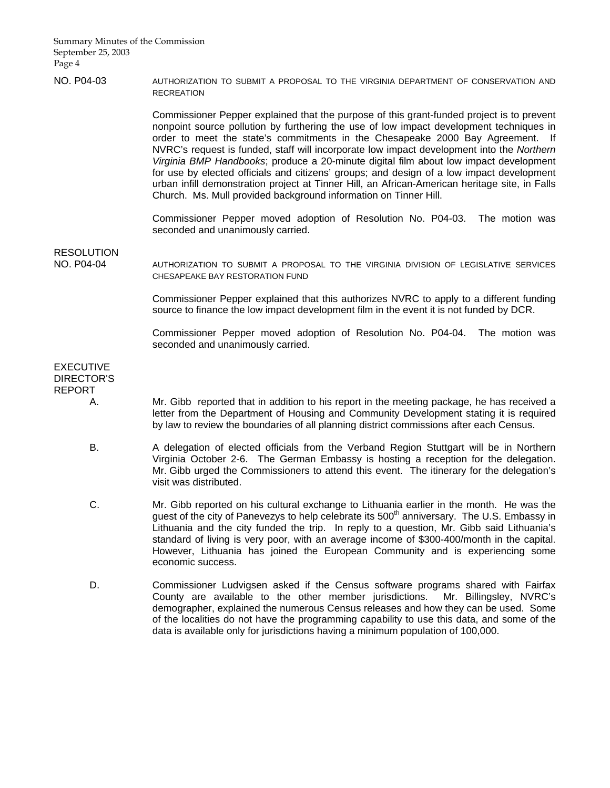# NO. P04-03 AUTHORIZATION TO SUBMIT A PROPOSAL TO THE VIRGINIA DEPARTMENT OF CONSERVATION AND **RECREATION**

 Commissioner Pepper explained that the purpose of this grant-funded project is to prevent nonpoint source pollution by furthering the use of low impact development techniques in order to meet the state's commitments in the Chesapeake 2000 Bay Agreement. If NVRC's request is funded, staff will incorporate low impact development into the *Northern Virginia BMP Handbooks*; produce a 20-minute digital film about low impact development for use by elected officials and citizens' groups; and design of a low impact development urban infill demonstration project at Tinner Hill, an African-American heritage site, in Falls Church. Ms. Mull provided background information on Tinner Hill.

 Commissioner Pepper moved adoption of Resolution No. P04-03. The motion was seconded and unanimously carried.

RESOLUTION

NO. P04-04 AUTHORIZATION TO SUBMIT A PROPOSAL TO THE VIRGINIA DIVISION OF LEGISLATIVE SERVICES CHESAPEAKE BAY RESTORATION FUND

> Commissioner Pepper explained that this authorizes NVRC to apply to a different funding source to finance the low impact development film in the event it is not funded by DCR.

> Commissioner Pepper moved adoption of Resolution No. P04-04. The motion was seconded and unanimously carried.

# EXECUTIVE DIRECTOR'S REPORT

- A. Mr. Gibb reported that in addition to his report in the meeting package, he has received a letter from the Department of Housing and Community Development stating it is required by law to review the boundaries of all planning district commissions after each Census.
- B. A delegation of elected officials from the Verband Region Stuttgart will be in Northern Virginia October 2-6. The German Embassy is hosting a reception for the delegation. Mr. Gibb urged the Commissioners to attend this event. The itinerary for the delegation's visit was distributed.
- C. Mr. Gibb reported on his cultural exchange to Lithuania earlier in the month. He was the guest of the city of Panevezys to help celebrate its  $500<sup>th</sup>$  anniversary. The U.S. Embassy in Lithuania and the city funded the trip. In reply to a question, Mr. Gibb said Lithuania's standard of living is very poor, with an average income of \$300-400/month in the capital. However, Lithuania has joined the European Community and is experiencing some economic success.
- D. Commissioner Ludvigsen asked if the Census software programs shared with Fairfax County are available to the other member jurisdictions. Mr. Billingsley, NVRC's demographer, explained the numerous Census releases and how they can be used. Some of the localities do not have the programming capability to use this data, and some of the data is available only for jurisdictions having a minimum population of 100,000.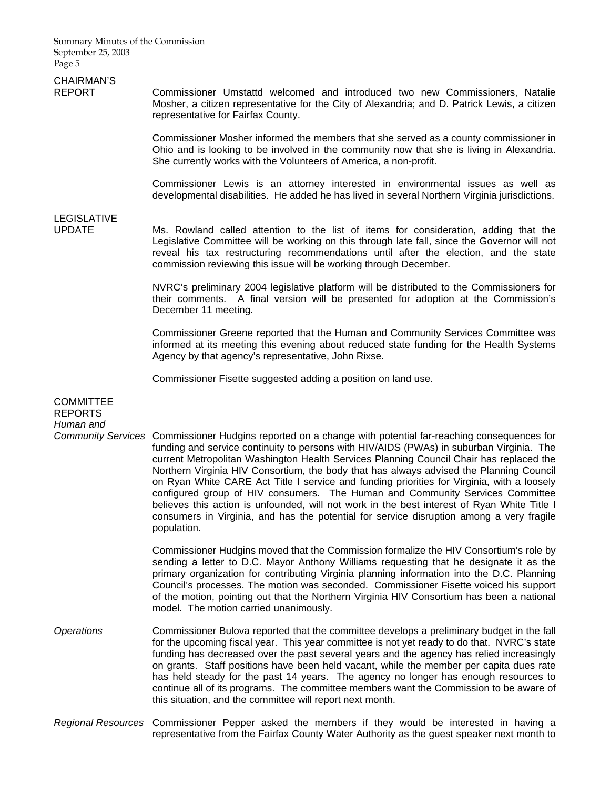# CHAIRMAN'S

REPORT Commissioner Umstattd welcomed and introduced two new Commissioners, Natalie Mosher, a citizen representative for the City of Alexandria; and D. Patrick Lewis, a citizen representative for Fairfax County.

> Commissioner Mosher informed the members that she served as a county commissioner in Ohio and is looking to be involved in the community now that she is living in Alexandria. She currently works with the Volunteers of America, a non-profit.

> Commissioner Lewis is an attorney interested in environmental issues as well as developmental disabilities. He added he has lived in several Northern Virginia jurisdictions.

# LEGISLATIVE

Ms. Rowland called attention to the list of items for consideration, adding that the Legislative Committee will be working on this through late fall, since the Governor will not reveal his tax restructuring recommendations until after the election, and the state commission reviewing this issue will be working through December.

 NVRC's preliminary 2004 legislative platform will be distributed to the Commissioners for their comments. A final version will be presented for adoption at the Commission's December 11 meeting.

 Commissioner Greene reported that the Human and Community Services Committee was informed at its meeting this evening about reduced state funding for the Health Systems Agency by that agency's representative, John Rixse.

Commissioner Fisette suggested adding a position on land use.

**COMMITTEE** REPORTS *Human and Community Services* Commissioner Hudgins reported on a change with potential far-reaching consequences for funding and service continuity to persons with HIV/AIDS (PWAs) in suburban Virginia. The current Metropolitan Washington Health Services Planning Council Chair has replaced the Northern Virginia HIV Consortium, the body that has always advised the Planning Council on Ryan White CARE Act Title I service and funding priorities for Virginia, with a loosely configured group of HIV consumers. The Human and Community Services Committee believes this action is unfounded, will not work in the best interest of Ryan White Title I consumers in Virginia, and has the potential for service disruption among a very fragile population. Commissioner Hudgins moved that the Commission formalize the HIV Consortium's role by sending a letter to D.C. Mayor Anthony Williams requesting that he designate it as the primary organization for contributing Virginia planning information into the D.C. Planning Council's processes. The motion was seconded. Commissioner Fisette voiced his support of the motion, pointing out that the Northern Virginia HIV Consortium has been a national model. The motion carried unanimously. *Operations* Commissioner Bulova reported that the committee develops a preliminary budget in the fall for the upcoming fiscal year. This year committee is not yet ready to do that. NVRC's state funding has decreased over the past several years and the agency has relied increasingly on grants. Staff positions have been held vacant, while the member per capita dues rate has held steady for the past 14 years. The agency no longer has enough resources to continue all of its programs. The committee members want the Commission to be aware of this situation, and the committee will report next month.

*Regional Resources* Commissioner Pepper asked the members if they would be interested in having a representative from the Fairfax County Water Authority as the guest speaker next month to